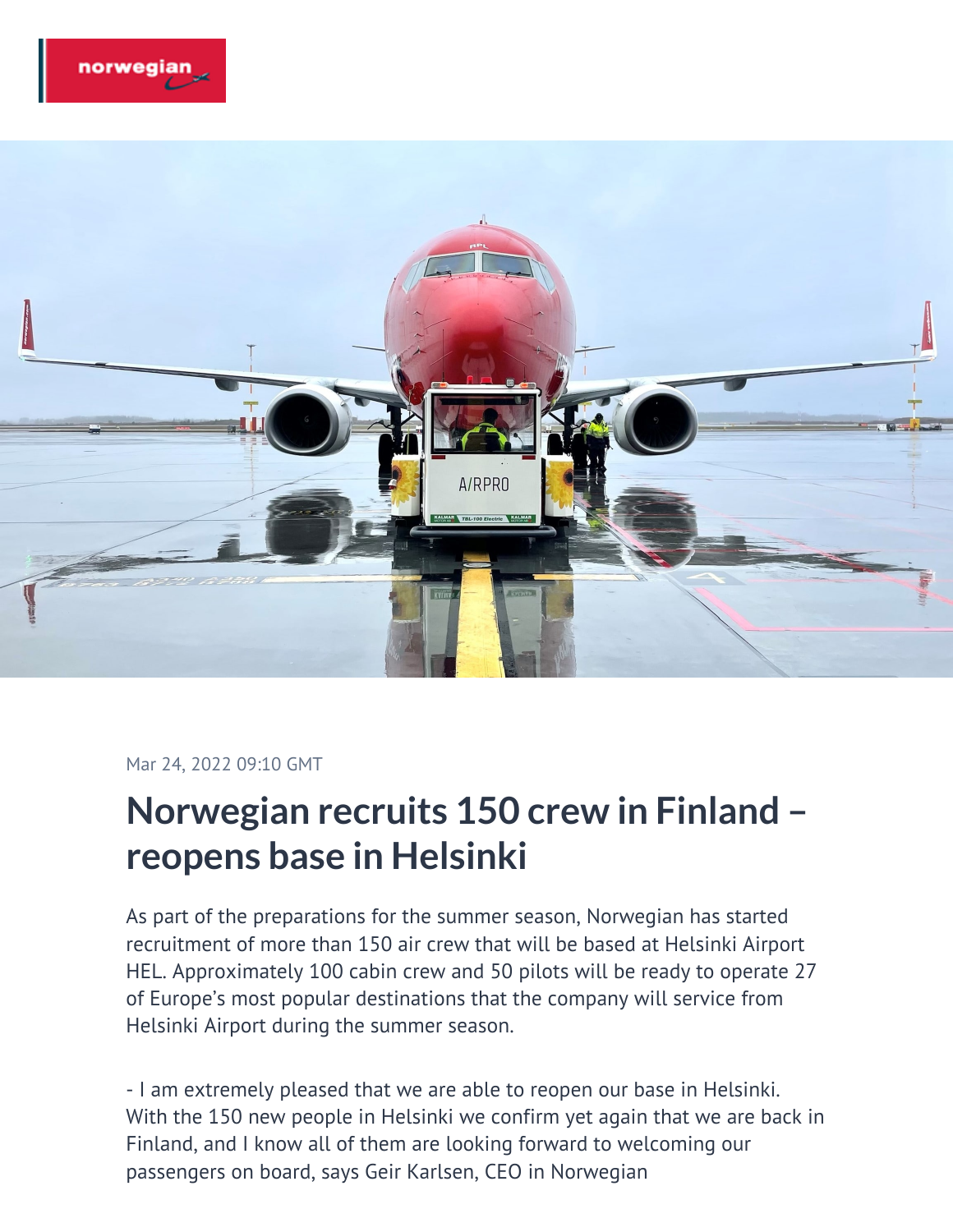



## Mar 24, 2022 09:10 GMT

## **Norwegian recruits 150 crew in Finland – reopens base in Helsinki**

As part of the preparations for the summer season, Norwegian has started recruitment of more than 150 air crew that will be based at Helsinki Airport HEL. Approximately 100 cabin crew and 50 pilots will be ready to operate 27 of Europe's most popular destinations that the company will service from Helsinki Airport during the summer season.

- I am extremely pleased that we are able to reopen our base in Helsinki. With the 150 new people in Helsinki we confirm yet again that we are back in Finland, and I know all of them are looking forward to welcoming our passengers on board, says Geir Karlsen, CEO in Norwegian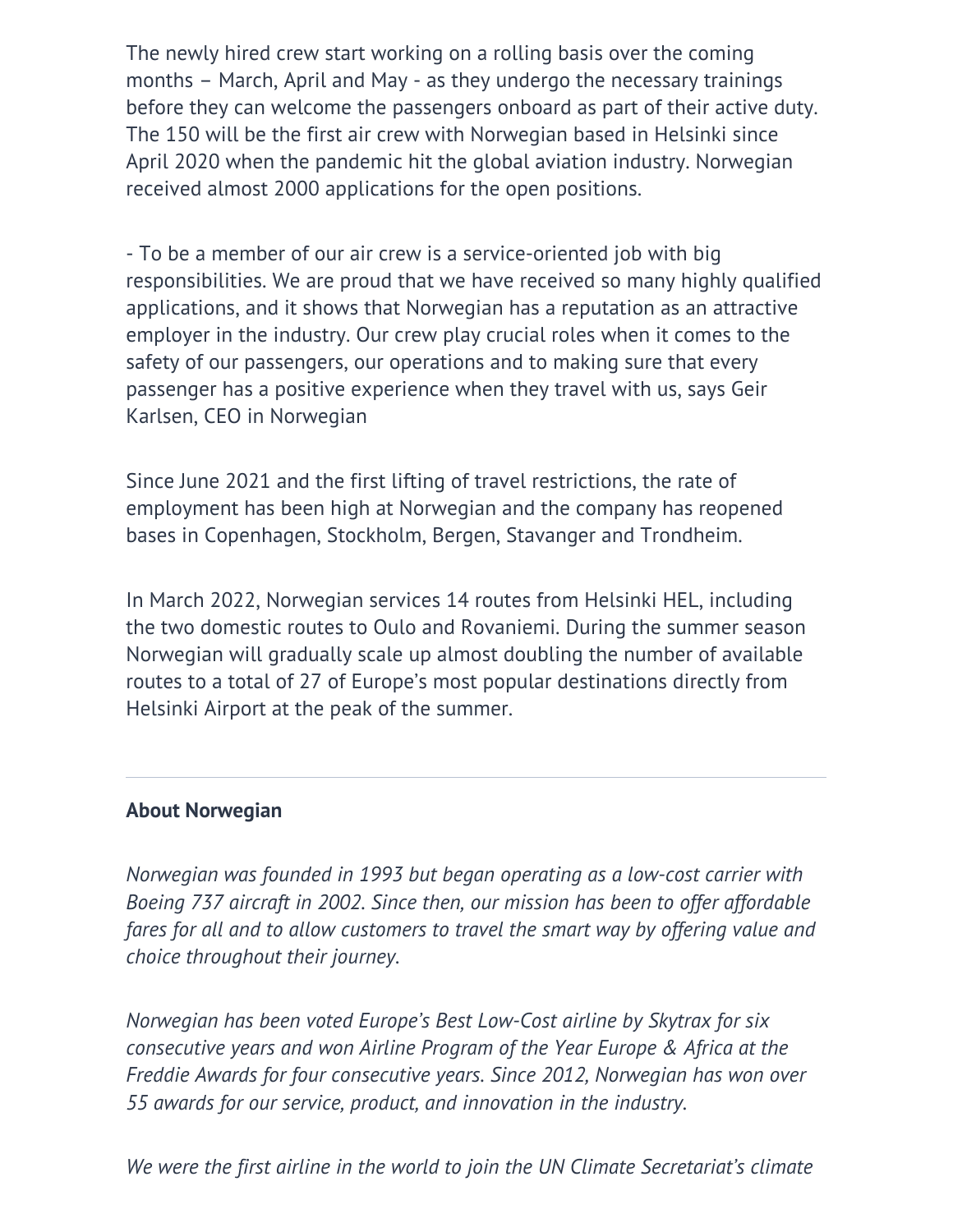The newly hired crew start working on a rolling basis over the coming months – March, April and May - as they undergo the necessary trainings before they can welcome the passengers onboard as part of their active duty. The 150 will be the first air crew with Norwegian based in Helsinki since April 2020 when the pandemic hit the global aviation industry. Norwegian received almost 2000 applications for the open positions.

- To be a member of our air crew is a service-oriented job with big responsibilities. We are proud that we have received so many highly qualified applications, and it shows that Norwegian has a reputation as an attractive employer in the industry. Our crew play crucial roles when it comes to the safety of our passengers, our operations and to making sure that every passenger has a positive experience when they travel with us, says Geir Karlsen, CEO in Norwegian

Since June 2021 and the first lifting of travel restrictions, the rate of employment has been high at Norwegian and the company has reopened bases in Copenhagen, Stockholm, Bergen, Stavanger and Trondheim.

In March 2022, Norwegian services 14 routes from Helsinki HEL, including the two domestic routes to Oulo and Rovaniemi. During the summer season Norwegian will gradually scale up almost doubling the number of available routes to a total of 27 of Europe's most popular destinations directly from Helsinki Airport at the peak of the summer.

## **About Norwegian**

*Norwegian was founded in 1993 but began operating as a low-cost carrier with Boeing 737 aircraft in 2002. Since then, our mission has been to offer affordable fares for all and to allow customers to travel the smart way by offering value and choice throughout their journey.*

*Norwegian has been voted Europe's Best Low-Cost airline by Skytrax for six consecutive years and won Airline Program of the Year Europe & Africa at the Freddie Awards for four consecutive years. Since 2012, Norwegian has won over 55 awards for our service, product, and innovation in the industry.*

*We were the first airline in the world to join the UN Climate Secretariat's climate*